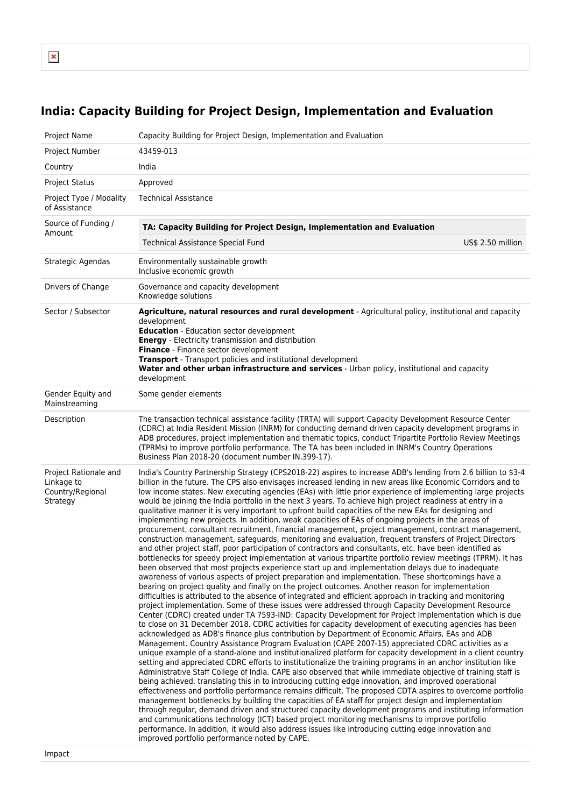$\pmb{\times}$ 

## **India: Capacity Building for Project Design, Implementation and Evaluation**

| Project Name                                                                  | Capacity Building for Project Design, Implementation and Evaluation                                                                                                                                                                                                                                                                                                                                                                                                                                                                                                                                                                                                                                                                                                                                                                                                                                                                                                                                                                                                                                                                                                                                                                                                                                                                                                                                                                                                                                                                                                                                                                                                                                                                                                                                                                                                                                                                                                                                                                                                                                                                                                                                                                                                                                                                                                                                                                                                                                                                                                                                                                                                                                                                                                                                                                                                                                                                                                                                                                                                                                                           |  |  |
|-------------------------------------------------------------------------------|-------------------------------------------------------------------------------------------------------------------------------------------------------------------------------------------------------------------------------------------------------------------------------------------------------------------------------------------------------------------------------------------------------------------------------------------------------------------------------------------------------------------------------------------------------------------------------------------------------------------------------------------------------------------------------------------------------------------------------------------------------------------------------------------------------------------------------------------------------------------------------------------------------------------------------------------------------------------------------------------------------------------------------------------------------------------------------------------------------------------------------------------------------------------------------------------------------------------------------------------------------------------------------------------------------------------------------------------------------------------------------------------------------------------------------------------------------------------------------------------------------------------------------------------------------------------------------------------------------------------------------------------------------------------------------------------------------------------------------------------------------------------------------------------------------------------------------------------------------------------------------------------------------------------------------------------------------------------------------------------------------------------------------------------------------------------------------------------------------------------------------------------------------------------------------------------------------------------------------------------------------------------------------------------------------------------------------------------------------------------------------------------------------------------------------------------------------------------------------------------------------------------------------------------------------------------------------------------------------------------------------------------------------------------------------------------------------------------------------------------------------------------------------------------------------------------------------------------------------------------------------------------------------------------------------------------------------------------------------------------------------------------------------------------------------------------------------------------------------------------------------|--|--|
| Project Number                                                                | 43459-013                                                                                                                                                                                                                                                                                                                                                                                                                                                                                                                                                                                                                                                                                                                                                                                                                                                                                                                                                                                                                                                                                                                                                                                                                                                                                                                                                                                                                                                                                                                                                                                                                                                                                                                                                                                                                                                                                                                                                                                                                                                                                                                                                                                                                                                                                                                                                                                                                                                                                                                                                                                                                                                                                                                                                                                                                                                                                                                                                                                                                                                                                                                     |  |  |
| Country                                                                       | India                                                                                                                                                                                                                                                                                                                                                                                                                                                                                                                                                                                                                                                                                                                                                                                                                                                                                                                                                                                                                                                                                                                                                                                                                                                                                                                                                                                                                                                                                                                                                                                                                                                                                                                                                                                                                                                                                                                                                                                                                                                                                                                                                                                                                                                                                                                                                                                                                                                                                                                                                                                                                                                                                                                                                                                                                                                                                                                                                                                                                                                                                                                         |  |  |
| <b>Project Status</b>                                                         | Approved                                                                                                                                                                                                                                                                                                                                                                                                                                                                                                                                                                                                                                                                                                                                                                                                                                                                                                                                                                                                                                                                                                                                                                                                                                                                                                                                                                                                                                                                                                                                                                                                                                                                                                                                                                                                                                                                                                                                                                                                                                                                                                                                                                                                                                                                                                                                                                                                                                                                                                                                                                                                                                                                                                                                                                                                                                                                                                                                                                                                                                                                                                                      |  |  |
| Project Type / Modality<br>of Assistance                                      | <b>Technical Assistance</b>                                                                                                                                                                                                                                                                                                                                                                                                                                                                                                                                                                                                                                                                                                                                                                                                                                                                                                                                                                                                                                                                                                                                                                                                                                                                                                                                                                                                                                                                                                                                                                                                                                                                                                                                                                                                                                                                                                                                                                                                                                                                                                                                                                                                                                                                                                                                                                                                                                                                                                                                                                                                                                                                                                                                                                                                                                                                                                                                                                                                                                                                                                   |  |  |
| Source of Funding /<br>Amount                                                 | TA: Capacity Building for Project Design, Implementation and Evaluation                                                                                                                                                                                                                                                                                                                                                                                                                                                                                                                                                                                                                                                                                                                                                                                                                                                                                                                                                                                                                                                                                                                                                                                                                                                                                                                                                                                                                                                                                                                                                                                                                                                                                                                                                                                                                                                                                                                                                                                                                                                                                                                                                                                                                                                                                                                                                                                                                                                                                                                                                                                                                                                                                                                                                                                                                                                                                                                                                                                                                                                       |  |  |
|                                                                               | US\$ 2.50 million<br><b>Technical Assistance Special Fund</b>                                                                                                                                                                                                                                                                                                                                                                                                                                                                                                                                                                                                                                                                                                                                                                                                                                                                                                                                                                                                                                                                                                                                                                                                                                                                                                                                                                                                                                                                                                                                                                                                                                                                                                                                                                                                                                                                                                                                                                                                                                                                                                                                                                                                                                                                                                                                                                                                                                                                                                                                                                                                                                                                                                                                                                                                                                                                                                                                                                                                                                                                 |  |  |
| Strategic Agendas                                                             | Environmentally sustainable growth<br>Inclusive economic growth                                                                                                                                                                                                                                                                                                                                                                                                                                                                                                                                                                                                                                                                                                                                                                                                                                                                                                                                                                                                                                                                                                                                                                                                                                                                                                                                                                                                                                                                                                                                                                                                                                                                                                                                                                                                                                                                                                                                                                                                                                                                                                                                                                                                                                                                                                                                                                                                                                                                                                                                                                                                                                                                                                                                                                                                                                                                                                                                                                                                                                                               |  |  |
| Drivers of Change                                                             | Governance and capacity development<br>Knowledge solutions                                                                                                                                                                                                                                                                                                                                                                                                                                                                                                                                                                                                                                                                                                                                                                                                                                                                                                                                                                                                                                                                                                                                                                                                                                                                                                                                                                                                                                                                                                                                                                                                                                                                                                                                                                                                                                                                                                                                                                                                                                                                                                                                                                                                                                                                                                                                                                                                                                                                                                                                                                                                                                                                                                                                                                                                                                                                                                                                                                                                                                                                    |  |  |
| Sector / Subsector                                                            | Agriculture, natural resources and rural development - Agricultural policy, institutional and capacity<br>development<br><b>Education</b> - Education sector development<br><b>Energy</b> - Electricity transmission and distribution<br>Finance - Finance sector development<br><b>Transport</b> - Transport policies and institutional development<br>Water and other urban infrastructure and services - Urban policy, institutional and capacity<br>development                                                                                                                                                                                                                                                                                                                                                                                                                                                                                                                                                                                                                                                                                                                                                                                                                                                                                                                                                                                                                                                                                                                                                                                                                                                                                                                                                                                                                                                                                                                                                                                                                                                                                                                                                                                                                                                                                                                                                                                                                                                                                                                                                                                                                                                                                                                                                                                                                                                                                                                                                                                                                                                           |  |  |
| Gender Equity and<br>Mainstreaming                                            | Some gender elements                                                                                                                                                                                                                                                                                                                                                                                                                                                                                                                                                                                                                                                                                                                                                                                                                                                                                                                                                                                                                                                                                                                                                                                                                                                                                                                                                                                                                                                                                                                                                                                                                                                                                                                                                                                                                                                                                                                                                                                                                                                                                                                                                                                                                                                                                                                                                                                                                                                                                                                                                                                                                                                                                                                                                                                                                                                                                                                                                                                                                                                                                                          |  |  |
| Description                                                                   | The transaction technical assistance facility (TRTA) will support Capacity Development Resource Center<br>(CDRC) at India Resident Mission (INRM) for conducting demand driven capacity development programs in<br>ADB procedures, project implementation and thematic topics, conduct Tripartite Portfolio Review Meetings<br>(TPRMs) to improve portfolio performance. The TA has been included in INRM's Country Operations<br>Business Plan 2018-20 (document number IN.399-17).                                                                                                                                                                                                                                                                                                                                                                                                                                                                                                                                                                                                                                                                                                                                                                                                                                                                                                                                                                                                                                                                                                                                                                                                                                                                                                                                                                                                                                                                                                                                                                                                                                                                                                                                                                                                                                                                                                                                                                                                                                                                                                                                                                                                                                                                                                                                                                                                                                                                                                                                                                                                                                          |  |  |
| Project Rationale and<br>Linkage to<br>Country/Regional<br>Strategy<br>Impact | India's Country Partnership Strategy (CPS2018-22) aspires to increase ADB's lending from 2.6 billion to \$3-4<br>billion in the future. The CPS also envisages increased lending in new areas like Economic Corridors and to<br>low income states. New executing agencies (EAs) with little prior experience of implementing large projects<br>would be joining the India portfolio in the next 3 years. To achieve high project readiness at entry in a<br>qualitative manner it is very important to upfront build capacities of the new EAs for designing and<br>implementing new projects. In addition, weak capacities of EAs of ongoing projects in the areas of<br>procurement, consultant recruitment, financial management, project management, contract management,<br>construction management, safeguards, monitoring and evaluation, frequent transfers of Project Directors<br>and other project staff, poor participation of contractors and consultants, etc. have been identified as<br>bottlenecks for speedy project implementation at various tripartite portfolio review meetings (TPRM). It has<br>been observed that most projects experience start up and implementation delays due to inadequate<br>awareness of various aspects of project preparation and implementation. These shortcomings have a<br>bearing on project quality and finally on the project outcomes. Another reason for implementation<br>difficulties is attributed to the absence of integrated and efficient approach in tracking and monitoring<br>project implementation. Some of these issues were addressed through Capacity Development Resource<br>Center (CDRC) created under TA 7593-IND: Capacity Development for Project Implementation which is due<br>to close on 31 December 2018. CDRC activities for capacity development of executing agencies has been<br>acknowledged as ADB's finance plus contribution by Department of Economic Affairs, EAs and ADB<br>Management. Country Assistance Program Evaluation (CAPE 2007-15) appreciated CDRC activities as a<br>unique example of a stand-alone and institutionalized platform for capacity development in a client country<br>setting and appreciated CDRC efforts to institutionalize the training programs in an anchor institution like<br>Administrative Staff College of India. CAPE also observed that while immediate objective of training staff is<br>being achieved, translating this in to introducing cutting edge innovation, and improved operational<br>effectiveness and portfolio performance remains difficult. The proposed CDTA aspires to overcome portfolio<br>management bottlenecks by building the capacities of EA staff for project design and implementation<br>through regular, demand driven and structured capacity development programs and instituting information<br>and communications technology (ICT) based project monitoring mechanisms to improve portfolio<br>performance. In addition, it would also address issues like introducing cutting edge innovation and<br>improved portfolio performance noted by CAPE. |  |  |